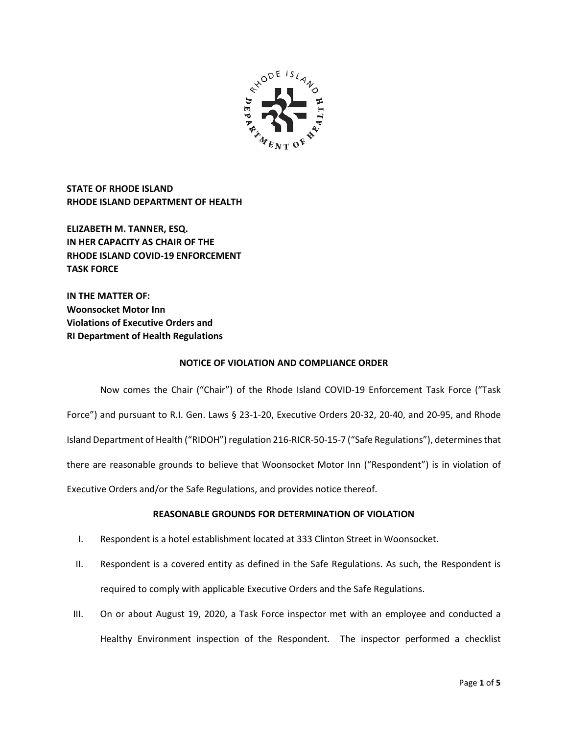

**STATE OF RHODE ISLAND RHODE ISLAND DEPARTMENT OF HEALTH**

**ELIZABETH M. TANNER, ESQ. IN HER CAPACITY AS CHAIR OF THE RHODE ISLAND COVID-19 ENFORCEMENT TASK FORCE** 

**IN THE MATTER OF: Woonsocket Motor Inn Violations of Executive Orders and RI Department of Health Regulations**

### **NOTICE OF VIOLATION AND COMPLIANCE ORDER**

Now comes the Chair ("Chair") of the Rhode Island COVID-19 Enforcement Task Force ("Task Force") and pursuant to R.I. Gen. Laws § 23-1-20, Executive Orders 20-32, 20-40, and 20-95, and Rhode Island Department of Health ("RIDOH") regulation 216-RICR-50-15-7 ("Safe Regulations"), determines that there are reasonable grounds to believe that Woonsocket Motor Inn ("Respondent") is in violation of Executive Orders and/or the Safe Regulations, and provides notice thereof.

# **REASONABLE GROUNDS FOR DETERMINATION OF VIOLATION**

- I. Respondent is a hotel establishment located at 333 Clinton Street in Woonsocket.
- II. Respondent is a covered entity as defined in the Safe Regulations. As such, the Respondent is required to comply with applicable Executive Orders and the Safe Regulations.
- III. On or about August 19, 2020, a Task Force inspector met with an employee and conducted a Healthy Environment inspection of the Respondent. The inspector performed a checklist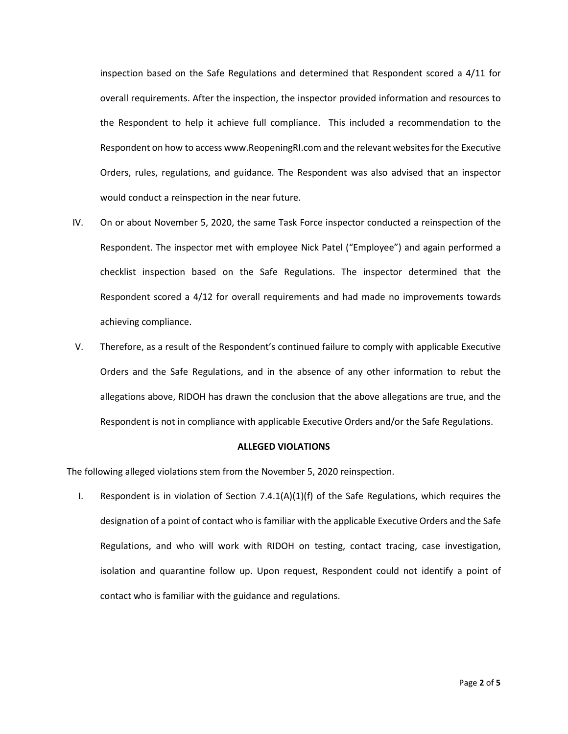inspection based on the Safe Regulations and determined that Respondent scored a 4/11 for overall requirements. After the inspection, the inspector provided information and resources to the Respondent to help it achieve full compliance. This included a recommendation to the Respondent on how to access www.ReopeningRI.com and the relevant websites for the Executive Orders, rules, regulations, and guidance. The Respondent was also advised that an inspector would conduct a reinspection in the near future.

- IV. On or about November 5, 2020, the same Task Force inspector conducted a reinspection of the Respondent. The inspector met with employee Nick Patel ("Employee") and again performed a checklist inspection based on the Safe Regulations. The inspector determined that the Respondent scored a 4/12 for overall requirements and had made no improvements towards achieving compliance.
- V. Therefore, as a result of the Respondent's continued failure to comply with applicable Executive Orders and the Safe Regulations, and in the absence of any other information to rebut the allegations above, RIDOH has drawn the conclusion that the above allegations are true, and the Respondent is not in compliance with applicable Executive Orders and/or the Safe Regulations.

#### **ALLEGED VIOLATIONS**

The following alleged violations stem from the November 5, 2020 reinspection.

I. Respondent is in violation of Section  $7.4.1(A)(1)(f)$  of the Safe Regulations, which requires the designation of a point of contact who is familiar with the applicable Executive Orders and the Safe Regulations, and who will work with RIDOH on testing, contact tracing, case investigation, isolation and quarantine follow up. Upon request, Respondent could not identify a point of contact who is familiar with the guidance and regulations.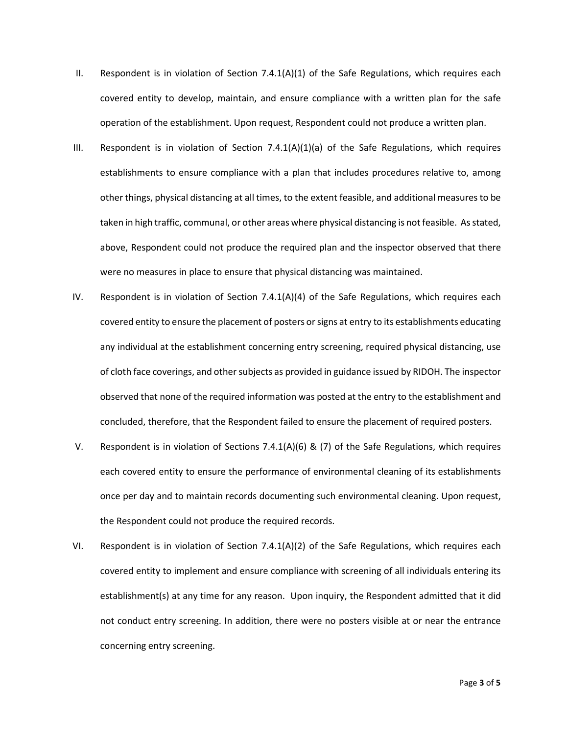- II. Respondent is in violation of Section  $7.4.1(A)(1)$  of the Safe Regulations, which requires each covered entity to develop, maintain, and ensure compliance with a written plan for the safe operation of the establishment. Upon request, Respondent could not produce a written plan.
- III. Respondent is in violation of Section  $7.4.1(A)(1)(a)$  of the Safe Regulations, which requires establishments to ensure compliance with a plan that includes procedures relative to, among other things, physical distancing at all times, to the extent feasible, and additional measures to be taken in high traffic, communal, or other areas where physical distancing is not feasible. As stated, above, Respondent could not produce the required plan and the inspector observed that there were no measures in place to ensure that physical distancing was maintained.
- IV. Respondent is in violation of Section 7.4.1(A)(4) of the Safe Regulations, which requires each covered entity to ensure the placement of posters or signs at entry to its establishments educating any individual at the establishment concerning entry screening, required physical distancing, use of cloth face coverings, and other subjects as provided in guidance issued by RIDOH. The inspector observed that none of the required information was posted at the entry to the establishment and concluded, therefore, that the Respondent failed to ensure the placement of required posters.
- V. Respondent is in violation of Sections 7.4.1(A)(6) & (7) of the Safe Regulations, which requires each covered entity to ensure the performance of environmental cleaning of its establishments once per day and to maintain records documenting such environmental cleaning. Upon request, the Respondent could not produce the required records.
- VI. Respondent is in violation of Section 7.4.1(A)(2) of the Safe Regulations, which requires each covered entity to implement and ensure compliance with screening of all individuals entering its establishment(s) at any time for any reason. Upon inquiry, the Respondent admitted that it did not conduct entry screening. In addition, there were no posters visible at or near the entrance concerning entry screening.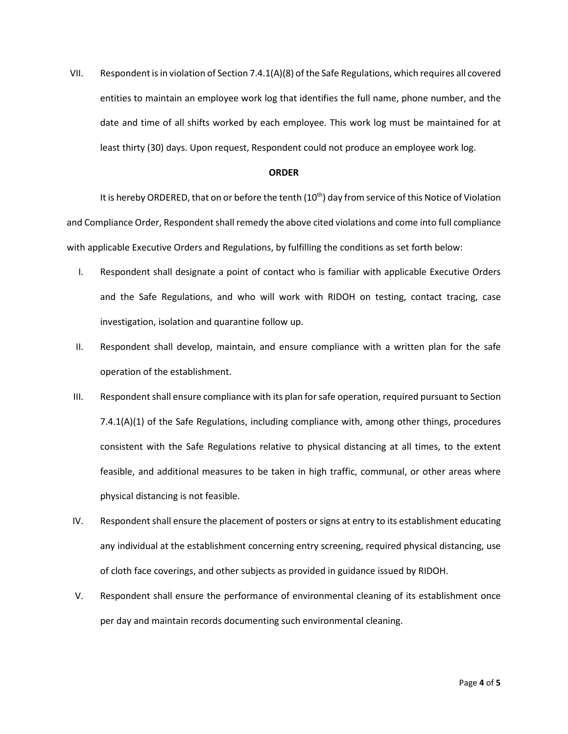VII. Respondent is in violation of Section 7.4.1(A)(8) of the Safe Regulations, which requires all covered entities to maintain an employee work log that identifies the full name, phone number, and the date and time of all shifts worked by each employee. This work log must be maintained for at least thirty (30) days. Upon request, Respondent could not produce an employee work log.

### **ORDER**

It is hereby ORDERED, that on or before the tenth  $(10<sup>th</sup>)$  day from service of this Notice of Violation and Compliance Order, Respondent shall remedy the above cited violations and come into full compliance with applicable Executive Orders and Regulations, by fulfilling the conditions as set forth below:

- I. Respondent shall designate a point of contact who is familiar with applicable Executive Orders and the Safe Regulations, and who will work with RIDOH on testing, contact tracing, case investigation, isolation and quarantine follow up.
- II. Respondent shall develop, maintain, and ensure compliance with a written plan for the safe operation of the establishment.
- III. Respondent shall ensure compliance with its plan for safe operation, required pursuant to Section 7.4.1(A)(1) of the Safe Regulations, including compliance with, among other things, procedures consistent with the Safe Regulations relative to physical distancing at all times, to the extent feasible, and additional measures to be taken in high traffic, communal, or other areas where physical distancing is not feasible.
- IV. Respondent shall ensure the placement of posters or signs at entry to its establishment educating any individual at the establishment concerning entry screening, required physical distancing, use of cloth face coverings, and other subjects as provided in guidance issued by RIDOH.
- V. Respondent shall ensure the performance of environmental cleaning of its establishment once per day and maintain records documenting such environmental cleaning.